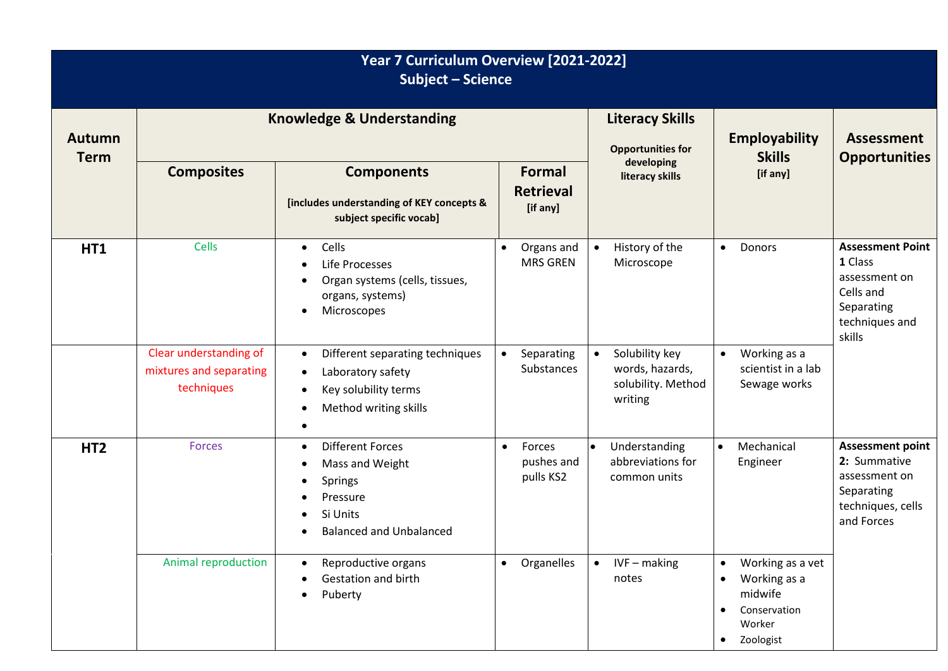| Year 7 Curriculum Overview [2021-2022]<br><b>Subject - Science</b> |                                                                 |                                                                                                                                                                     |           |                                        |                                                    |                                                                    |                                                  |                                                                                    |                                                                                                            |
|--------------------------------------------------------------------|-----------------------------------------------------------------|---------------------------------------------------------------------------------------------------------------------------------------------------------------------|-----------|----------------------------------------|----------------------------------------------------|--------------------------------------------------------------------|--------------------------------------------------|------------------------------------------------------------------------------------|------------------------------------------------------------------------------------------------------------|
| <b>Autumn</b><br><b>Term</b>                                       | <b>Knowledge &amp; Understanding</b>                            |                                                                                                                                                                     |           |                                        | <b>Literacy Skills</b><br><b>Opportunities for</b> |                                                                    | <b>Employability</b><br><b>Skills</b>            | <b>Assessment</b><br><b>Opportunities</b>                                          |                                                                                                            |
|                                                                    | <b>Composites</b>                                               | <b>Components</b><br>[includes understanding of KEY concepts &<br>subject specific vocab]                                                                           |           | Formal<br><b>Retrieval</b><br>[if any] | developing<br>literacy skills                      | [if any]                                                           |                                                  |                                                                                    |                                                                                                            |
| <b>HT1</b>                                                         | <b>Cells</b>                                                    | Cells<br>$\bullet$<br>Life Processes<br>$\bullet$<br>Organ systems (cells, tissues,<br>$\bullet$<br>organs, systems)<br>Microscopes<br>$\bullet$                    | $\bullet$ | Organs and<br><b>MRS GREN</b>          | $\bullet$                                          | History of the<br>Microscope                                       | $\bullet$                                        | Donors                                                                             | <b>Assessment Point</b><br>1 Class<br>assessment on<br>Cells and<br>Separating<br>techniques and<br>skills |
|                                                                    | Clear understanding of<br>mixtures and separating<br>techniques | Different separating techniques<br>$\bullet$<br>Laboratory safety<br>$\bullet$<br>Key solubility terms<br>$\bullet$<br>Method writing skills<br>$\bullet$           | $\bullet$ | Separating<br><b>Substances</b>        | $\bullet$                                          | Solubility key<br>words, hazards,<br>solubility. Method<br>writing | $\bullet$                                        | Working as a<br>scientist in a lab<br>Sewage works                                 |                                                                                                            |
| HT <sub>2</sub>                                                    | <b>Forces</b>                                                   | <b>Different Forces</b><br>$\bullet$<br>Mass and Weight<br>$\bullet$<br>Springs<br>$\bullet$<br>Pressure<br>Si Units<br>$\bullet$<br><b>Balanced and Unbalanced</b> | $\bullet$ | Forces<br>pushes and<br>pulls KS2      |                                                    | Understanding<br>abbreviations for<br>common units                 | $\bullet$                                        | Mechanical<br>Engineer                                                             | <b>Assessment point</b><br>2: Summative<br>assessment on<br>Separating<br>techniques, cells<br>and Forces  |
|                                                                    | Animal reproduction                                             | Reproductive organs<br>$\bullet$<br>Gestation and birth<br>Puberty<br>$\bullet$                                                                                     | $\bullet$ | Organelles                             | $\bullet$                                          | $IVF$ – making<br>notes                                            | $\bullet$<br>$\bullet$<br>$\bullet$<br>$\bullet$ | Working as a vet<br>Working as a<br>midwife<br>Conservation<br>Worker<br>Zoologist |                                                                                                            |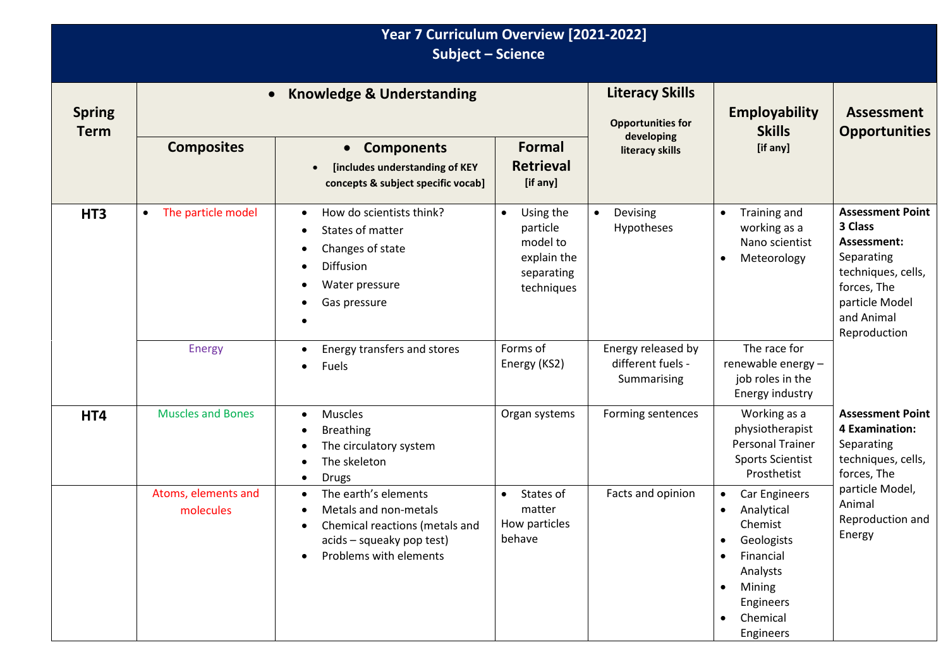| Year 7 Curriculum Overview [2021-2022]<br><b>Subject - Science</b> |                                  |                                                                                                                                                                               |                                                                                           |                                                        |                                                                                                                                                         |                                                                                                                                                      |  |  |
|--------------------------------------------------------------------|----------------------------------|-------------------------------------------------------------------------------------------------------------------------------------------------------------------------------|-------------------------------------------------------------------------------------------|--------------------------------------------------------|---------------------------------------------------------------------------------------------------------------------------------------------------------|------------------------------------------------------------------------------------------------------------------------------------------------------|--|--|
| <b>Spring</b><br><b>Term</b>                                       |                                  | <b>Knowledge &amp; Understanding</b>                                                                                                                                          | <b>Literacy Skills</b><br><b>Opportunities for</b>                                        | <b>Employability</b><br><b>Skills</b>                  | <b>Assessment</b><br><b>Opportunities</b>                                                                                                               |                                                                                                                                                      |  |  |
|                                                                    | <b>Composites</b>                | <b>Components</b><br>$\bullet$<br>[includes understanding of KEY<br>$\bullet$<br>concepts & subject specific vocab]                                                           | Formal<br><b>Retrieval</b><br>[if any]                                                    | developing<br>literacy skills                          | [if any]                                                                                                                                                |                                                                                                                                                      |  |  |
| HT <sub>3</sub>                                                    | The particle model<br>$\bullet$  | How do scientists think?<br>$\bullet$<br>States of matter<br>$\bullet$<br>Changes of state<br>٠<br>Diffusion<br>٠<br>Water pressure<br>Gas pressure<br>٠                      | Using the<br>$\bullet$<br>particle<br>model to<br>explain the<br>separating<br>techniques | Devising<br>$\bullet$<br>Hypotheses                    | Training and<br>$\bullet$<br>working as a<br>Nano scientist<br>Meteorology<br>$\bullet$                                                                 | <b>Assessment Point</b><br>3 Class<br>Assessment:<br>Separating<br>techniques, cells,<br>forces, The<br>particle Model<br>and Animal<br>Reproduction |  |  |
|                                                                    | <b>Energy</b>                    | Energy transfers and stores<br>$\bullet$<br>Fuels                                                                                                                             | Forms of<br>Energy (KS2)                                                                  | Energy released by<br>different fuels -<br>Summarising | The race for<br>renewable energy-<br>job roles in the<br>Energy industry                                                                                |                                                                                                                                                      |  |  |
| HT4                                                                | <b>Muscles and Bones</b>         | Muscles<br>$\bullet$<br><b>Breathing</b><br>The circulatory system<br>The skeleton<br>$\bullet$<br><b>Drugs</b>                                                               | Organ systems                                                                             | Forming sentences                                      | Working as a<br>physiotherapist<br><b>Personal Trainer</b><br><b>Sports Scientist</b><br>Prosthetist                                                    | <b>Assessment Point</b><br>4 Examination:<br>Separating<br>techniques, cells,<br>forces, The                                                         |  |  |
|                                                                    | Atoms, elements and<br>molecules | The earth's elements<br>$\bullet$<br>Metals and non-metals<br>$\bullet$<br>Chemical reactions (metals and<br>acids - squeaky pop test)<br>Problems with elements<br>$\bullet$ | States of<br>$\bullet$<br>matter<br>How particles<br>behave                               | Facts and opinion                                      | Car Engineers<br>Analytical<br>Chemist<br>Geologists<br>$\bullet$<br>Financial<br>$\bullet$<br>Analysts<br>Mining<br>Engineers<br>Chemical<br>Engineers | particle Model,<br>Animal<br>Reproduction and<br>Energy                                                                                              |  |  |